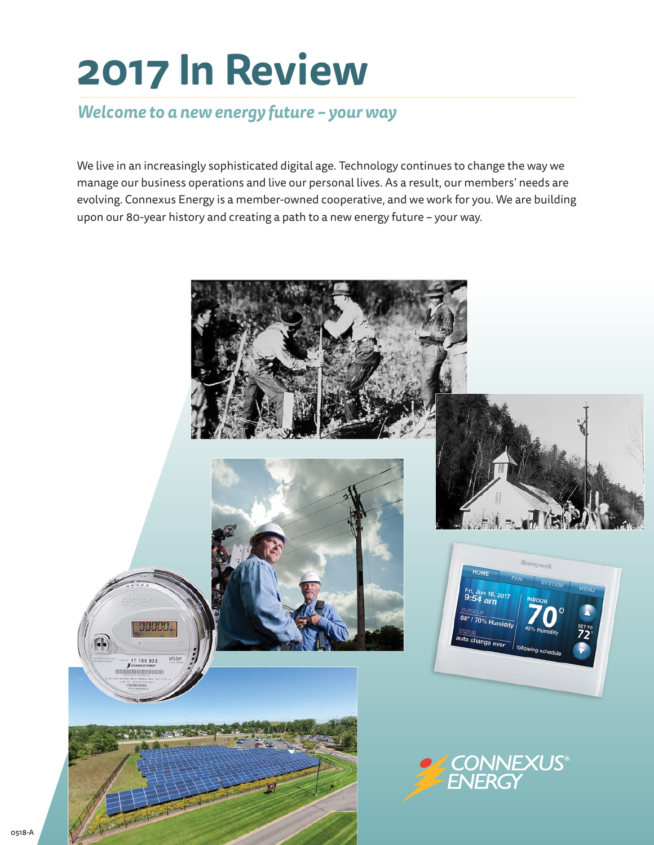# **2017 In Review**

### *Welcome to a new energy future – your way*

We live in an increasingly sophisticated digital age. Technology continues to change the way we manage our business operations and live our personal lives. As a result, our members' needs are evolving. Connexus Energy is a member-owned cooperative, and we work for you. We are building upon our 80-year history and creating a path to a new energy future – your way.

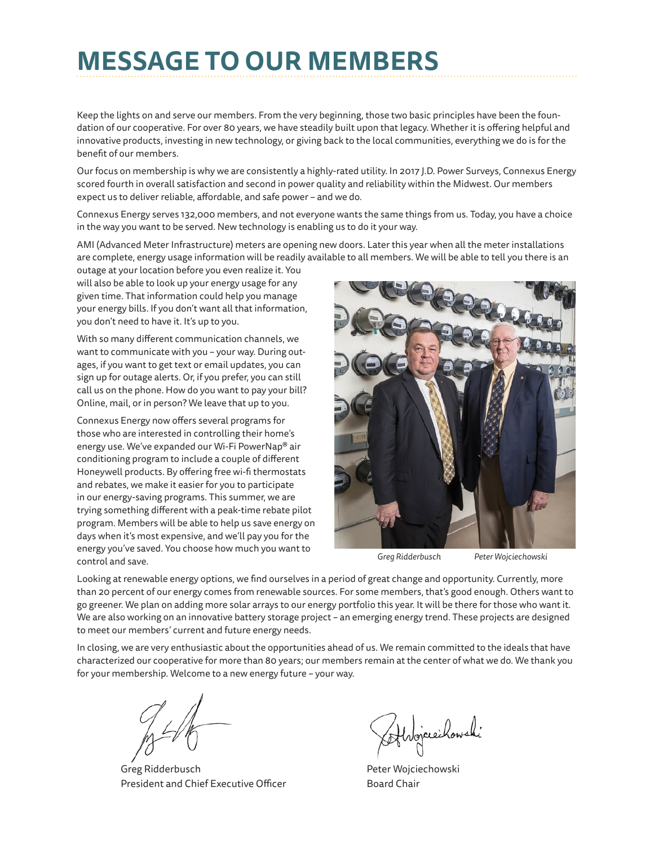# **MESSAGE TO OUR MEMBERS**

Keep the lights on and serve our members. From the very beginning, those two basic principles have been the foundation of our cooperative. For over 80 years, we have steadily built upon that legacy. Whether it is offering helpful and innovative products, investing in new technology, or giving back to the local communities, everything we do is for the benefit of our members.

Our focus on membership is why we are consistently a highly-rated utility. In 2017 J.D. Power Surveys, Connexus Energy scored fourth in overall satisfaction and second in power quality and reliability within the Midwest. Our members expect us to deliver reliable, affordable, and safe power – and we do.

Connexus Energy serves 132,000 members, and not everyone wants the same things from us. Today, you have a choice in the way you want to be served. New technology is enabling us to do it your way.

AMI (Advanced Meter Infrastructure) meters are opening new doors. Later this year when all the meter installations are complete, energy usage information will be readily available to all members. We will be able to tell you there is an

outage at your location before you even realize it. You will also be able to look up your energy usage for any given time. That information could help you manage your energy bills. If you don't want all that information, you don't need to have it. It's up to you.

With so many different communication channels, we want to communicate with you – your way. During outages, if you want to get text or email updates, you can sign up for outage alerts. Or, if you prefer, you can still call us on the phone. How do you want to pay your bill? Online, mail, or in person? We leave that up to you.

Connexus Energy now offers several programs for those who are interested in controlling their home's energy use. We've expanded our Wi-Fi PowerNap® air conditioning program to include a couple of different Honeywell products. By offering free wi-fi thermostats and rebates, we make it easier for you to participate in our energy-saving programs. This summer, we are trying something different with a peak-time rebate pilot program. Members will be able to help us save energy on days when it's most expensive, and we'll pay you for the energy you've saved. You choose how much you want to control and save.



*Greg Ridderbusch Peter Wojciechowski*

Looking at renewable energy options, we find ourselves in a period of great change and opportunity. Currently, more than 20 percent of our energy comes from renewable sources. For some members, that's good enough. Others want to go greener. We plan on adding more solar arrays to our energy portfolio this year. It will be there for those who want it. We are also working on an innovative battery storage project – an emerging energy trend. These projects are designed to meet our members' current and future energy needs.

In closing, we are very enthusiastic about the opportunities ahead of us. We remain committed to the ideals that have characterized our cooperative for more than 80 years; our members remain at the center of what we do. We thank you for your membership. Welcome to a new energy future – your way.

Greg Ridderbusch President and Chief Executive Officer

Atvojciechowski

Peter Wojciechowski Board Chair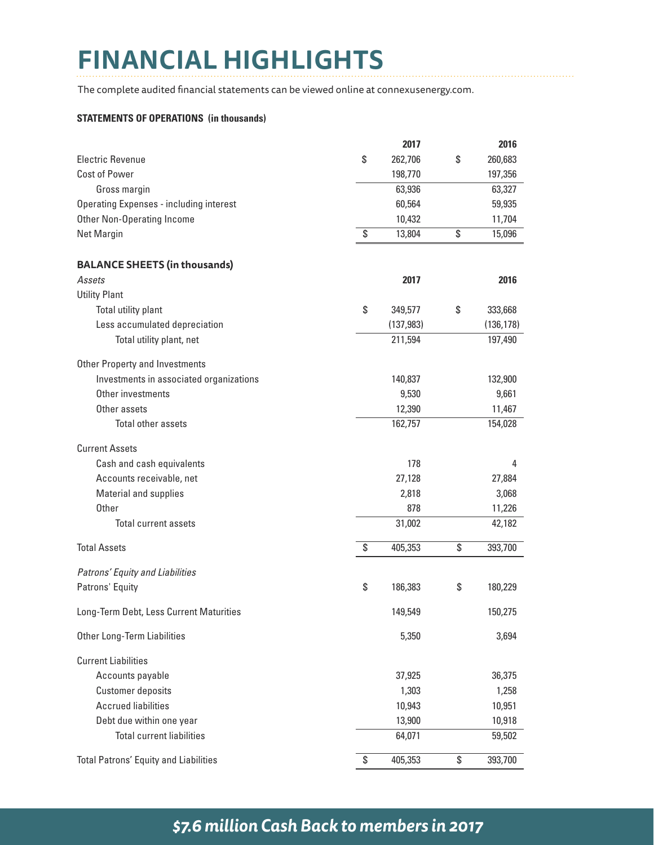# **FINANCIAL HIGHLIGHTS**

The complete audited financial statements can be viewed online at connexusenergy.com.

#### **STATEMENTS OF OPERATIONS (in thousands)**

|                                                | 2017          | 2016          |
|------------------------------------------------|---------------|---------------|
| <b>Electric Revenue</b>                        | \$<br>262,706 | \$<br>260,683 |
| Cost of Power                                  | 198,770       | 197,356       |
| Gross margin                                   | 63,936        | 63,327        |
| <b>Operating Expenses - including interest</b> | 60,564        | 59,935        |
| <b>Other Non-Operating Income</b>              | 10,432        | 11,704        |
| Net Margin                                     | \$<br>13,804  | \$<br>15,096  |
| <b>BALANCE SHEETS (in thousands)</b>           |               |               |
| Assets                                         | 2017          | 2016          |
| <b>Utility Plant</b>                           |               |               |
| Total utility plant                            | \$<br>349,577 | \$<br>333,668 |
| Less accumulated depreciation                  | (137, 983)    | (136, 178)    |
| Total utility plant, net                       | 211,594       | 197,490       |
| <b>Other Property and Investments</b>          |               |               |
| Investments in associated organizations        | 140,837       | 132,900       |
| Other investments                              | 9,530         | 9,661         |
| Other assets                                   | 12,390        | 11,467        |
| Total other assets                             | 162,757       | 154,028       |
| <b>Current Assets</b>                          |               |               |
| Cash and cash equivalents                      | 178           | 4             |
| Accounts receivable, net                       | 27,128        | 27,884        |
| Material and supplies                          | 2,818         | 3,068         |
| Other                                          | 878           | 11,226        |
| Total current assets                           | 31,002        | 42,182        |
| <b>Total Assets</b>                            | \$<br>405,353 | \$<br>393,700 |
| Patrons' Equity and Liabilities                |               |               |
| Patrons' Equity                                | \$<br>186,383 | \$<br>180,229 |
| Long-Term Debt, Less Current Maturities        | 149,549       | 150,275       |
| <b>Other Long-Term Liabilities</b>             | 5,350         | 3,694         |
| <b>Current Liabilities</b>                     |               |               |
| Accounts payable                               | 37,925        | 36,375        |
| <b>Customer deposits</b>                       | 1,303         | 1,258         |
| <b>Accrued liabilities</b>                     | 10,943        | 10,951        |
| Debt due within one year                       | 13,900        | 10,918        |
| <b>Total current liabilities</b>               | 64,071        | 59,502        |
| <b>Total Patrons' Equity and Liabilities</b>   | \$<br>405,353 | \$<br>393,700 |

# *\$7.6 million Cash Back to members in 2017*